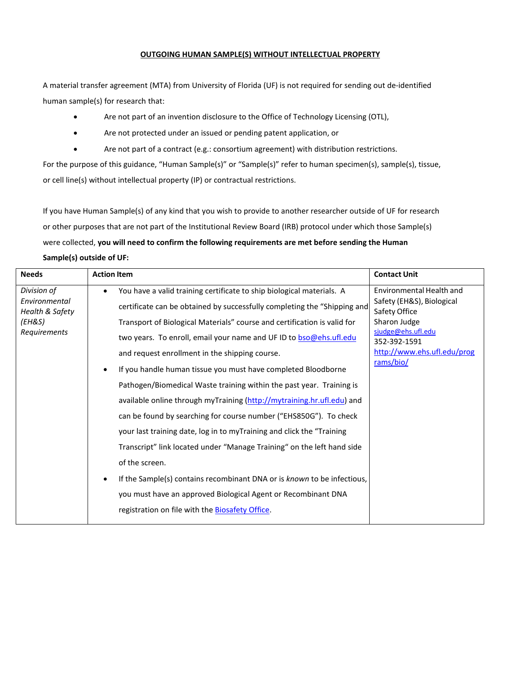## **OUTGOING HUMAN SAMPLE(S) WITHOUT INTELLECTUAL PROPERTY**

A material transfer agreement (MTA) from University of Florida (UF) is not required for sending out de-identified human sample(s) for research that:

- Are not part of an invention disclosure to the Office of Technology Licensing (OTL),
- Are not protected under an issued or pending patent application, or
- Are not part of a contract (e.g.: consortium agreement) with distribution restrictions.

For the purpose of this guidance, "Human Sample(s)" or "Sample(s)" refer to human specimen(s), sample(s), tissue, or cell line(s) without intellectual property (IP) or contractual restrictions.

If you have Human Sample(s) of any kind that you wish to provide to another researcher outside of UF for research or other purposes that are not part of the Institutional Review Board (IRB) protocol under which those Sample(s) were collected, **you will need to confirm the following requirements are met before sending the Human** 

**Sample(s) outside of UF:**

| Environmental Health and<br>Division of<br>You have a valid training certificate to ship biological materials. A<br>$\bullet$<br>Safety (EH&S), Biological<br>Environmental<br>certificate can be obtained by successfully completing the "Shipping and<br>Health & Safety<br>Safety Office<br>Sharon Judge<br>(EH&S)<br>Transport of Biological Materials" course and certification is valid for<br>sjudge@ehs.ufl.edu<br>Requirements<br>two years. To enroll, email your name and UF ID to bso@ehs.ufl.edu<br>352-392-1591<br>http://www.ehs.ufl.edu/prog<br>and request enrollment in the shipping course.<br>rams/bio/<br>If you handle human tissue you must have completed Bloodborne<br>Pathogen/Biomedical Waste training within the past year. Training is<br>available online through myTraining (http://mytraining.hr.ufl.edu) and<br>can be found by searching for course number ("EHS850G"). To check<br>your last training date, log in to myTraining and click the "Training<br>Transcript" link located under "Manage Training" on the left hand side<br>of the screen.<br>If the Sample(s) contains recombinant DNA or is known to be infectious,<br>٠<br>you must have an approved Biological Agent or Recombinant DNA<br>registration on file with the Biosafety Office. |  |
|----------------------------------------------------------------------------------------------------------------------------------------------------------------------------------------------------------------------------------------------------------------------------------------------------------------------------------------------------------------------------------------------------------------------------------------------------------------------------------------------------------------------------------------------------------------------------------------------------------------------------------------------------------------------------------------------------------------------------------------------------------------------------------------------------------------------------------------------------------------------------------------------------------------------------------------------------------------------------------------------------------------------------------------------------------------------------------------------------------------------------------------------------------------------------------------------------------------------------------------------------------------------------------------------|--|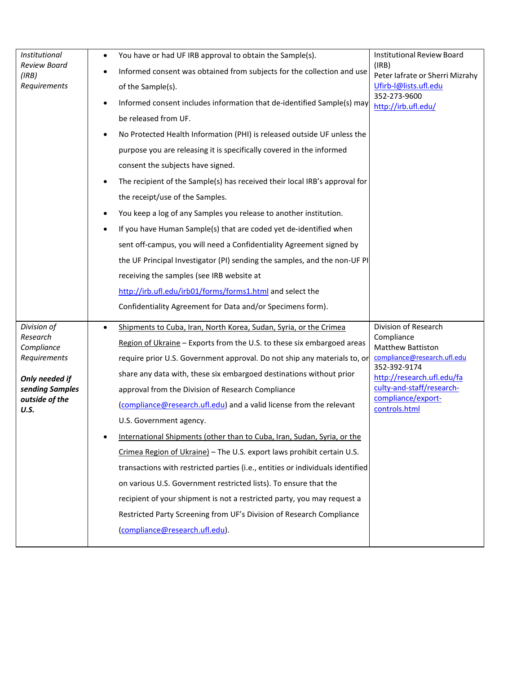| Institutional<br><b>Review Board</b><br>(IRB)<br>Requirements                                                        | You have or had UF IRB approval to obtain the Sample(s).<br>$\bullet$<br>Informed consent was obtained from subjects for the collection and use<br>$\bullet$<br>of the Sample(s).<br>Informed consent includes information that de-identified Sample(s) may<br>$\bullet$<br>be released from UF.<br>No Protected Health Information (PHI) is released outside UF unless the<br>purpose you are releasing it is specifically covered in the informed<br>consent the subjects have signed.<br>The recipient of the Sample(s) has received their local IRB's approval for<br>the receipt/use of the Samples.<br>You keep a log of any Samples you release to another institution.<br>If you have Human Sample(s) that are coded yet de-identified when<br>$\bullet$<br>sent off-campus, you will need a Confidentiality Agreement signed by<br>the UF Principal Investigator (PI) sending the samples, and the non-UF PI<br>receiving the samples (see IRB website at<br>http://irb.ufl.edu/irb01/forms/forms1.html and select the<br>Confidentiality Agreement for Data and/or Specimens form). | <b>Institutional Review Board</b><br>(IRB)<br>Peter lafrate or Sherri Mizrahy<br>Ufirb-I@lists.ufl.edu<br>352-273-9600<br>http://irb.ufl.edu/                                                                   |
|----------------------------------------------------------------------------------------------------------------------|-----------------------------------------------------------------------------------------------------------------------------------------------------------------------------------------------------------------------------------------------------------------------------------------------------------------------------------------------------------------------------------------------------------------------------------------------------------------------------------------------------------------------------------------------------------------------------------------------------------------------------------------------------------------------------------------------------------------------------------------------------------------------------------------------------------------------------------------------------------------------------------------------------------------------------------------------------------------------------------------------------------------------------------------------------------------------------------------------|-----------------------------------------------------------------------------------------------------------------------------------------------------------------------------------------------------------------|
| Division of<br>Research<br>Compliance<br>Requirements<br>Only needed if<br>sending Samples<br>outside of the<br>U.S. | Shipments to Cuba, Iran, North Korea, Sudan, Syria, or the Crimea<br>$\bullet$<br>Region of Ukraine - Exports from the U.S. to these six embargoed areas<br>require prior U.S. Government approval. Do not ship any materials to, or<br>share any data with, these six embargoed destinations without prior<br>approval from the Division of Research Compliance<br>(compliance@research.ufl.edu) and a valid license from the relevant<br>U.S. Government agency.<br>International Shipments (other than to Cuba, Iran, Sudan, Syria, or the<br>Crimea Region of Ukraine) - The U.S. export laws prohibit certain U.S.<br>transactions with restricted parties (i.e., entities or individuals identified<br>on various U.S. Government restricted lists). To ensure that the<br>recipient of your shipment is not a restricted party, you may request a<br>Restricted Party Screening from UF's Division of Research Compliance<br>(compliance@research.ufl.edu).                                                                                                                            | Division of Research<br>Compliance<br><b>Matthew Battiston</b><br>compliance@research.ufl.edu<br>352-392-9174<br>http://research.ufl.edu/fa<br>culty-and-staff/research-<br>compliance/export-<br>controls.html |